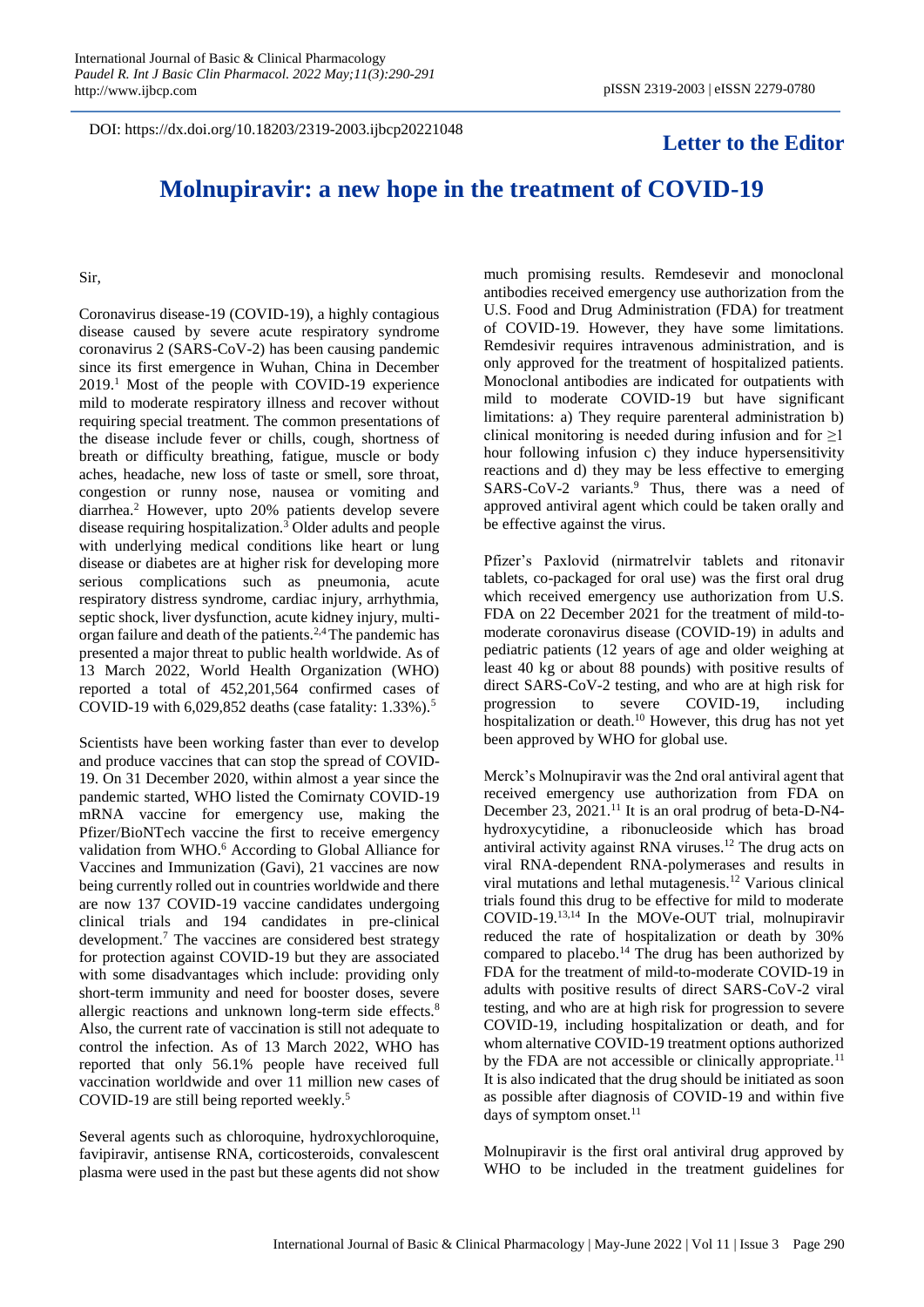DOI: https://dx.doi.org/10.18203/2319-2003.ijbcp20221048

## **Letter to the Editor**

## **Molnupiravir: a new hope in the treatment of COVID-19**

Sir,

Coronavirus disease-19 (COVID-19), a highly contagious disease caused by severe acute respiratory syndrome coronavirus 2 (SARS-CoV-2) has been causing pandemic since its first emergence in Wuhan, China in December 2019.<sup>1</sup> Most of the people with COVID-19 experience mild to moderate respiratory illness and recover without requiring special treatment. The common presentations of the disease include fever or chills, cough, shortness of breath or difficulty breathing, fatigue, muscle or body aches, headache, new loss of taste or smell, sore throat, congestion or runny nose, nausea or vomiting and diarrhea.<sup>2</sup> However, upto 20% patients develop severe disease requiring hospitalization.<sup>3</sup> Older adults and people with underlying medical conditions like heart or lung disease or diabetes are at higher risk for developing more serious complications such as pneumonia, acute respiratory distress syndrome, cardiac injury, arrhythmia, septic shock, liver dysfunction, acute kidney injury, multiorgan failure and death of the patients.2,4 The pandemic has presented a major threat to public health worldwide. As of 13 March 2022, World Health Organization (WHO) reported a total of 452,201,564 confirmed cases of COVID-19 with  $6,029,852$  deaths (case fatality:  $1.33\%$ ).<sup>5</sup>

Scientists have been working faster than ever to develop and produce vaccines that can stop the spread of COVID-19. On 31 December 2020, within almost a year since the pandemic started, WHO listed the Comirnaty COVID-19 mRNA vaccine for emergency use, making the Pfizer/BioNTech vaccine the first to receive emergency validation from WHO.<sup>6</sup> According to Global Alliance for Vaccines and Immunization (Gavi), 21 vaccines are now being currently rolled out in countries worldwide and there are now 137 COVID-19 vaccine candidates undergoing clinical trials and 194 candidates in pre-clinical development.<sup>7</sup> The vaccines are considered best strategy for protection against COVID-19 but they are associated with some disadvantages which include: providing only short-term immunity and need for booster doses, severe allergic reactions and unknown long-term side effects.<sup>8</sup> Also, the current rate of vaccination is still not adequate to control the infection. As of 13 March 2022, WHO has reported that only 56.1% people have received full vaccination worldwide and over 11 million new cases of COVID-19 are still being reported weekly.<sup>5</sup>

Several agents such as chloroquine, hydroxychloroquine, favipiravir, antisense RNA, corticosteroids, convalescent plasma were used in the past but these agents did not show much promising results. Remdesevir and monoclonal antibodies received emergency use authorization from the U.S. Food and Drug Administration (FDA) for treatment of COVID-19. However, they have some limitations. Remdesivir requires intravenous administration, and is only approved for the treatment of hospitalized patients. Monoclonal antibodies are indicated for outpatients with mild to moderate COVID-19 but have significant limitations: a) They require parenteral administration b) clinical monitoring is needed during infusion and for  $\geq 1$ hour following infusion c) they induce hypersensitivity reactions and d) they may be less effective to emerging SARS-CoV-2 variants.<sup>9</sup> Thus, there was a need of approved antiviral agent which could be taken orally and be effective against the virus.

Pfizer's Paxlovid (nirmatrelvir tablets and ritonavir tablets, co-packaged for oral use) was the first oral drug which received emergency use authorization from U.S. FDA on 22 December 2021 for the treatment of mild-tomoderate coronavirus disease (COVID-19) in adults and pediatric patients (12 years of age and older weighing at least 40 kg or about 88 pounds) with positive results of direct SARS-CoV-2 testing, and who are at high risk for progression to severe COVID-19, including hospitalization or death.<sup>10</sup> However, this drug has not yet been approved by WHO for global use.

Merck's Molnupiravir was the 2nd oral antiviral agent that received emergency use authorization from FDA on December 23, 2021.<sup>11</sup> It is an oral prodrug of beta-D-N4hydroxycytidine, a ribonucleoside which has broad antiviral activity against RNA viruses.<sup>12</sup> The drug acts on viral RNA-dependent RNA-polymerases and results in viral mutations and lethal mutagenesis.<sup>12</sup> Various clinical trials found this drug to be effective for mild to moderate COVID-19.13,14 In the MOVe-OUT trial, molnupiravir reduced the rate of hospitalization or death by 30% compared to placebo.<sup>14</sup> The drug has been authorized by FDA for the treatment of mild-to-moderate COVID-19 in adults with positive results of direct SARS-CoV-2 viral testing, and who are at high risk for progression to severe COVID-19, including hospitalization or death, and for whom alternative COVID-19 treatment options authorized by the FDA are not accessible or clinically appropriate.<sup>11</sup> It is also indicated that the drug should be initiated as soon as possible after diagnosis of COVID-19 and within five days of symptom onset. $11$ 

Molnupiravir is the first oral antiviral drug approved by WHO to be included in the treatment guidelines for